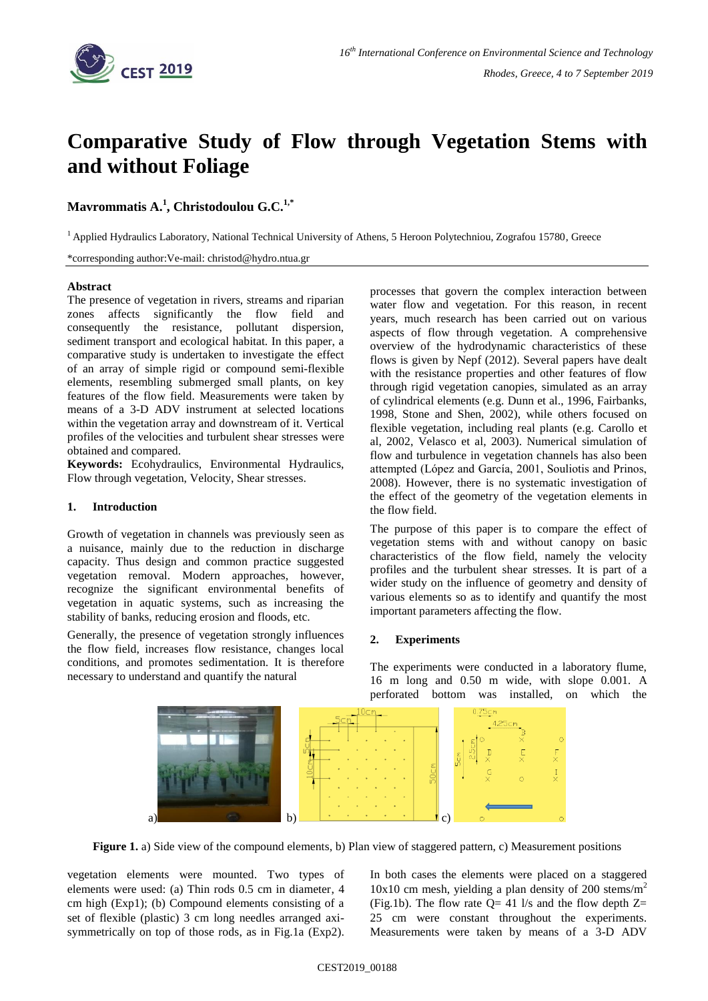

# **Comparative Study of Flow through Vegetation Stems with and without Foliage**

# **Mavrommatis A.<sup>1</sup> , Christodoulou G.C.1,\***

<sup>1</sup> Applied Hydraulics Laboratory, National Technical University of Athens, 5 Heroon Polytechniou, Zografou 15780, Greece

\*corresponding author:Ve-mail: christod@hydro.ntua.gr

#### **Abstract**

The presence of vegetation in rivers, streams and riparian zones affects significantly the flow field and consequently the resistance, pollutant dispersion, sediment transport and ecological habitat. In this paper, a comparative study is undertaken to investigate the effect of an array of simple rigid or compound semi-flexible elements, resembling submerged small plants, on key features of the flow field. Measurements were taken by means of a 3-D ADV instrument at selected locations within the vegetation array and downstream of it. Vertical profiles of the velocities and turbulent shear stresses were obtained and compared.

**Keywords:** Ecohydraulics, Environmental Hydraulics, Flow through vegetation, Velocity, Shear stresses.

#### **1. Introduction**

Growth of vegetation in channels was previously seen as a nuisance, mainly due to the reduction in discharge capacity. Thus design and common practice suggested vegetation removal. Modern approaches, however, recognize the significant environmental benefits of vegetation in aquatic systems, such as increasing the stability of banks, reducing erosion and floods, etc.

Generally, the presence of vegetation strongly influences the flow field, increases flow resistance, changes local conditions, and promotes sedimentation. It is therefore necessary to understand and quantify the natural

processes that govern the complex interaction between water flow and vegetation. For this reason, in recent years, much research has been carried out on various aspects of flow through vegetation. A comprehensive overview of the hydrodynamic characteristics of these flows is given by Nepf (2012). Several papers have dealt with the resistance properties and other features of flow through rigid vegetation canopies, simulated as an array of cylindrical elements (e.g. Dunn et al., 1996, Fairbanks, 1998, Stone and Shen, 2002), while others focused on flexible vegetation, including real plants (e.g. Carollo et al, 2002, Velasco et al, 2003). Numerical simulation of flow and turbulence in vegetation channels has also been attempted (López and García, 2001, Souliotis and Prinos, 2008). However, there is no systematic investigation of the effect of the geometry of the vegetation elements in the flow field.

The purpose of this paper is to compare the effect of vegetation stems with and without canopy on basic characteristics of the flow field, namely the velocity profiles and the turbulent shear stresses. It is part of a wider study on the influence of geometry and density of various elements so as to identify and quantify the most important parameters affecting the flow.

#### **2. Experiments**

The experiments were conducted in a laboratory flume, 16 m long and 0.50 m wide, with slope 0.001. A perforated bottom was installed, on which the



**Figure 1.** a) Side view of the compound elements, b) Plan view of staggered pattern, c) Measurement positions

vegetation elements were mounted. Two types of elements were used: (a) Thin rods 0.5 cm in diameter, 4 cm high (Exp1); (b) Compound elements consisting of a set of flexible (plastic) 3 cm long needles arranged axisymmetrically on top of those rods, as in Fig.1a (Exp2). In both cases the elements were placed on a staggered  $10x10$  cm mesh, yielding a plan density of 200 stems/m<sup>2</sup> (Fig.1b). The flow rate  $Q = 41$  l/s and the flow depth  $Z =$ 25 cm were constant throughout the experiments. Measurements were taken by means of a 3-D ADV